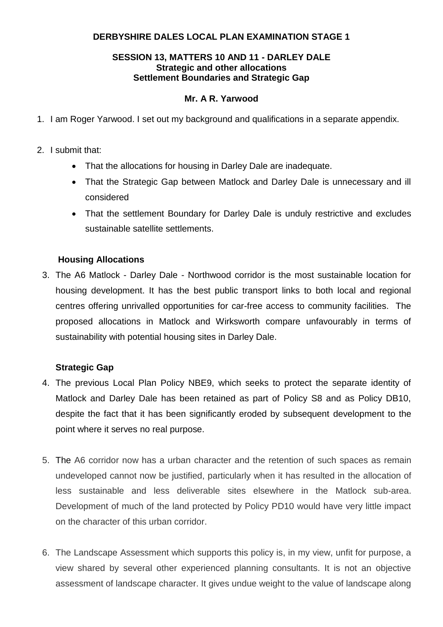# **DERBYSHIRE DALES LOCAL PLAN EXAMINATION STAGE 1**

### **SESSION 13, MATTERS 10 AND 11 - DARLEY DALE Strategic and other allocations Settlement Boundaries and Strategic Gap**

## **Mr. A R. Yarwood**

- 1. I am Roger Yarwood. I set out my background and qualifications in a separate appendix.
- 2. I submit that:
	- That the allocations for housing in Darley Dale are inadequate.
	- That the Strategic Gap between Matlock and Darley Dale is unnecessary and ill considered
	- That the settlement Boundary for Darley Dale is unduly restrictive and excludes sustainable satellite settlements.

### **Housing Allocations**

3. The A6 Matlock - Darley Dale - Northwood corridor is the most sustainable location for housing development. It has the best public transport links to both local and regional centres offering unrivalled opportunities for car-free access to community facilities. The proposed allocations in Matlock and Wirksworth compare unfavourably in terms of sustainability with potential housing sites in Darley Dale.

### **Strategic Gap**

- 4. The previous Local Plan Policy NBE9, which seeks to protect the separate identity of Matlock and Darley Dale has been retained as part of Policy S8 and as Policy DB10, despite the fact that it has been significantly eroded by subsequent development to the point where it serves no real purpose.
- 5. The A6 corridor now has a urban character and the retention of such spaces as remain undeveloped cannot now be justified, particularly when it has resulted in the allocation of less sustainable and less deliverable sites elsewhere in the Matlock sub-area. Development of much of the land protected by Policy PD10 would have very little impact on the character of this urban corridor.
- 6. The Landscape Assessment which supports this policy is, in my view, unfit for purpose, a view shared by several other experienced planning consultants. It is not an objective assessment of landscape character. It gives undue weight to the value of landscape along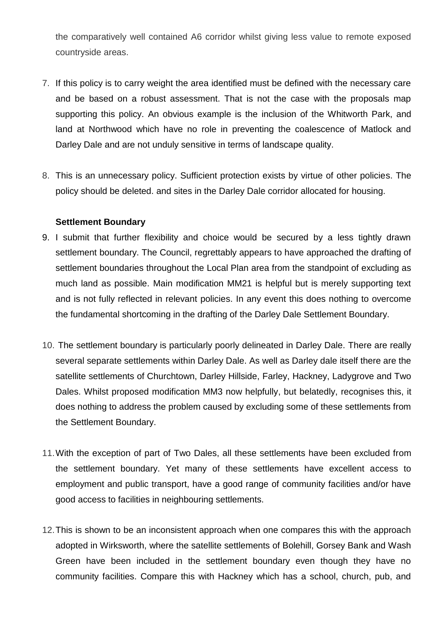the comparatively well contained A6 corridor whilst giving less value to remote exposed countryside areas.

- 7. If this policy is to carry weight the area identified must be defined with the necessary care and be based on a robust assessment. That is not the case with the proposals map supporting this policy. An obvious example is the inclusion of the Whitworth Park, and land at Northwood which have no role in preventing the coalescence of Matlock and Darley Dale and are not unduly sensitive in terms of landscape quality.
- 8. This is an unnecessary policy. Sufficient protection exists by virtue of other policies. The policy should be deleted. and sites in the Darley Dale corridor allocated for housing.

### **Settlement Boundary**

- 9. I submit that further flexibility and choice would be secured by a less tightly drawn settlement boundary. The Council, regrettably appears to have approached the drafting of settlement boundaries throughout the Local Plan area from the standpoint of excluding as much land as possible. Main modification MM21 is helpful but is merely supporting text and is not fully reflected in relevant policies. In any event this does nothing to overcome the fundamental shortcoming in the drafting of the Darley Dale Settlement Boundary.
- 10. The settlement boundary is particularly poorly delineated in Darley Dale. There are really several separate settlements within Darley Dale. As well as Darley dale itself there are the satellite settlements of Churchtown, Darley Hillside, Farley, Hackney, Ladygrove and Two Dales. Whilst proposed modification MM3 now helpfully, but belatedly, recognises this, it does nothing to address the problem caused by excluding some of these settlements from the Settlement Boundary.
- 11.With the exception of part of Two Dales, all these settlements have been excluded from the settlement boundary. Yet many of these settlements have excellent access to employment and public transport, have a good range of community facilities and/or have good access to facilities in neighbouring settlements.
- 12.This is shown to be an inconsistent approach when one compares this with the approach adopted in Wirksworth, where the satellite settlements of Bolehill, Gorsey Bank and Wash Green have been included in the settlement boundary even though they have no community facilities. Compare this with Hackney which has a school, church, pub, and